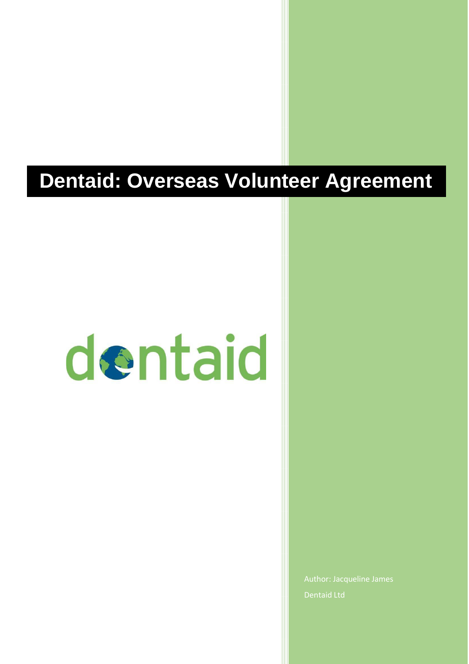# dentaid

Dentaid Ltd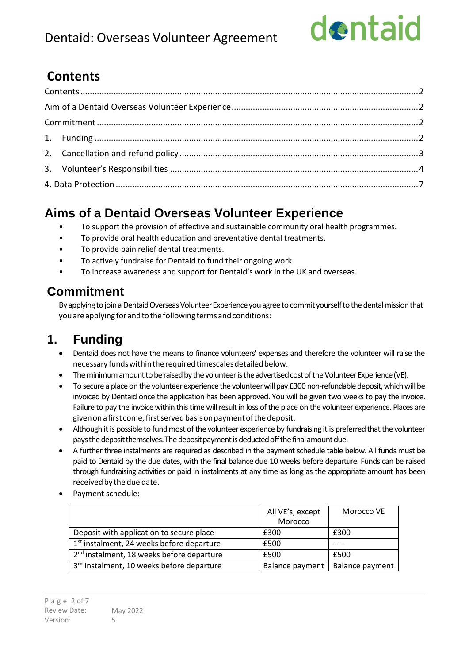# dentaid

# <span id="page-1-0"></span>**Contents**

## <span id="page-1-1"></span>**Aims of a Dentaid Overseas Volunteer Experience**

- To support the provision of effective and sustainable community oral health programmes.
- To provide oral health education and preventative dental treatments.
- To provide pain relief dental treatments.
- To actively fundraise for Dentaid to fund their ongoing work.
- To increase awareness and support for Dentaid's work in the UK and overseas.

#### <span id="page-1-2"></span>**Commitment**

By applying to join a Dentaid Overseas Volunteer Experience you agree to commit yourself to the dental mission that you are applying for and to the following terms and conditions:

## <span id="page-1-3"></span>**1. Funding**

- Dentaid does not have the means to finance volunteers' expenses and therefore the volunteer will raise the necessary funds within the required timescales detailed below.
- The minimum amount to be raised by the volunteer is the advertised cost of the Volunteer Experience (VE).
- To secure a place on the volunteer experience the volunteer will pay £300 non-refundable deposit, which will be invoiced by Dentaid once the application has been approved. You will be given two weeks to pay the invoice. Failure to pay the invoice within this time will result in loss of the place on the volunteer experience. Places are given on a first come, first served basis on payment of the deposit.
- Although it is possible to fund most of the volunteer experience by fundraising it is preferred that the volunteer pays the deposit themselves. The deposit payment is deducted off the final amount due.
- A further three instalments are required as described in the payment schedule table below. All funds must be paid to Dentaid by the due dates, with the final balance due 10 weeks before departure. Funds can be raised through fundraising activities or paid in instalments at any time as long as the appropriate amount has been received by the due date.
- Payment schedule:

|                                                       | All VE's, except | Morocco VE      |
|-------------------------------------------------------|------------------|-----------------|
|                                                       | Morocco          |                 |
| Deposit with application to secure place              | £300             | £300            |
| 1 <sup>st</sup> instalment, 24 weeks before departure | £500             |                 |
| 2 <sup>nd</sup> instalment, 18 weeks before departure | £500             | £500            |
| 3rd instalment, 10 weeks before departure             | Balance payment  | Balance payment |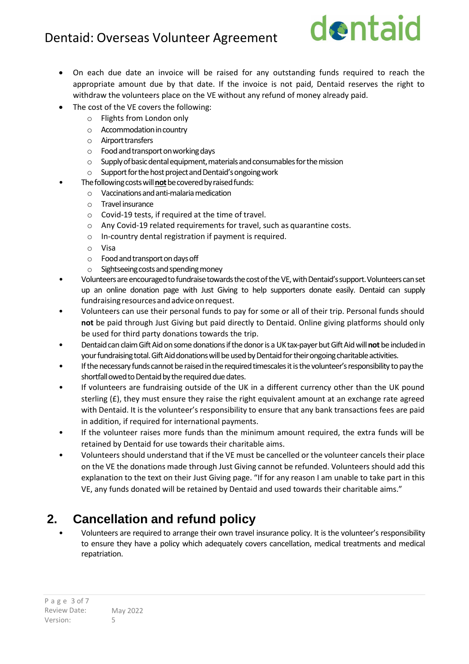

- On each due date an invoice will be raised for any outstanding funds required to reach the appropriate amount due by that date. If the invoice is not paid, Dentaid reserves the right to withdraw the volunteers place on the VE without any refund of money already paid.
- The cost of the VE covers the following:
	- o Flights from London only
	- $\circ$  Accommodation in country
	- o Airporttransfers
	- o Foodandtransportonworkingdays
	- o Supplyofbasicdentalequipment,materialsandconsumablesforthemission
	- $\circ$  Support for the host project and Dentaid's ongoing work
- The following costs will not be covered by raised funds:
	- $\circ$  Vaccinations and anti-malaria medication
	- o Travel insurance
	- o Covid-19 tests, if required at the time of travel.
	- o Any Covid-19 related requirements for travel, such as quarantine costs.
	- o In-country dental registration if payment is required.
	- o Visa
	- o Foodandtransportondaysoff
	- $\circ$  Sightseeing costs and spending money
- Volunteers are encouraged to fundraise towards the cost of the VE, with Dentaid's support. Volunteers can set up an online donation page with Just Giving to help supporters donate easily. Dentaid can supply fundraising resources and advice on request.
- Volunteers can use their personal funds to pay for some or all of their trip. Personal funds should **not** be paid through Just Giving but paid directly to Dentaid. Online giving platforms should only be used for third party donations towards the trip.
- Dentaid can claim Gift Aid on some donations if the donor is a UK tax-payer but Gift Aid will not be included in your fundraising total. Gift Aid donations will be used by Dentaid for their ongoing charitable activities.
- If the necessary funds cannot be raised in the required timescales it is the volunteer's responsibility to pay the shortfall owed to Dentaid by the required due dates.
- If volunteers are fundraising outside of the UK in a different currency other than the UK pound sterling (£), they must ensure they raise the right equivalent amount at an exchange rate agreed with Dentaid. It is the volunteer's responsibility to ensure that any bank transactions fees are paid in addition, if required for international payments.
- If the volunteer raises more funds than the minimum amount required, the extra funds will be retained by Dentaid for use towards their charitable aims.
- Volunteers should understand that if the VE must be cancelled or the volunteer cancels their place on the VE the donations made through Just Giving cannot be refunded. Volunteers should add this explanation to the text on their Just Giving page. "If for any reason I am unable to take part in this VE, any funds donated will be retained by Dentaid and used towards their charitable aims."

#### <span id="page-2-0"></span>**2. Cancellation and refund policy**

• Volunteers are required to arrange their own travel insurance policy. It is the volunteer's responsibility to ensure they have a policy which adequately covers cancellation, medical treatments and medical repatriation.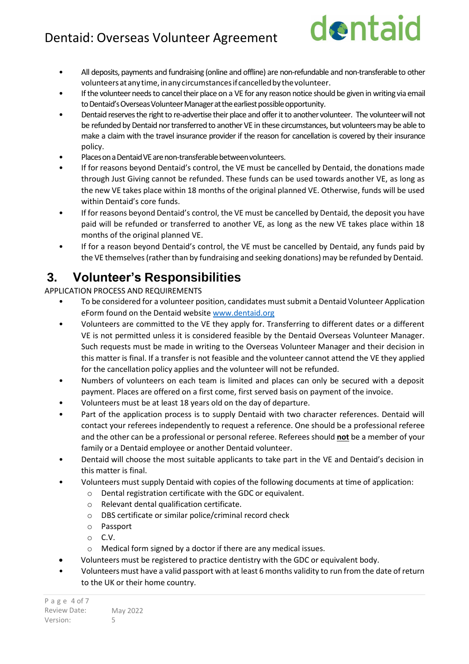

- All deposits, payments and fundraising (online and offline) are non-refundable and non-transferable to other volunteers at any time, in any circumstances if cancelled by the volunteer.
- If the volunteer needs to cancel their place on a VE for any reason notice should be given in writing via email to Dentaid's Overseas Volunteer Manager at the earliest possible opportunity.
- Dentaid reserves the right to re-advertise their place and offer it to another volunteer. The volunteer will not be refunded by Dentaid nor transferred to another VE in these circumstances, but volunteers may be able to make a claim with the travel insurance provider if the reason for cancellation is covered by their insurance policy.
- Places on a Dentaid VE are non-transferable between volunteers.
- If for reasons beyond Dentaid's control, the VE must be cancelled by Dentaid, the donations made through Just Giving cannot be refunded. These funds can be used towards another VE, as long as the new VE takes place within 18 months of the original planned VE. Otherwise, funds will be used within Dentaid's core funds.
- If for reasons beyond Dentaid's control, the VE must be cancelled by Dentaid, the deposit you have paid will be refunded or transferred to another VE, as long as the new VE takes place within 18 months of the original planned VE.
- If for a reason beyond Dentaid's control, the VE must be cancelled by Dentaid, any funds paid by the VE themselves (rather than by fundraising and seeking donations) may be refunded by Dentaid.

#### <span id="page-3-0"></span>**3. Volunteer's Responsibilities**

#### APPLICATION PROCESS AND REQUIREMENTS

- To be considered for a volunteer position, candidates mustsubmit a Dentaid Volunteer Application eForm found on the Dentaid website [www.dentaid.org](http://www.dentaid.org/)
- Volunteers are committed to the VE they apply for. Transferring to different dates or a different VE is not permitted unless it is considered feasible by the Dentaid Overseas Volunteer Manager. Such requests must be made in writing to the Overseas Volunteer Manager and their decision in this matter is final. If a transfer is not feasible and the volunteer cannot attend the VE they applied for the cancellation policy applies and the volunteer will not be refunded.
- Numbers of volunteers on each team is limited and places can only be secured with a deposit payment. Places are offered on a first come, first served basis on payment of the invoice.
- Volunteers must be at least 18 years old on the day of departure.
- Part of the application process is to supply Dentaid with two character references. Dentaid will contact your referees independently to request a reference. One should be a professional referee and the other can be a professional or personal referee. Referees should **not** be a member of your family or a Dentaid employee or another Dentaid volunteer.
- Dentaid will choose the most suitable applicants to take part in the VE and Dentaid's decision in this matter is final.
- Volunteers must supply Dentaid with copies of the following documents at time of application:
	- o Dental registration certificate with the GDC or equivalent.
	- o Relevant dental qualification certificate.
	- o DBS certificate or similar police/criminal record check
	- o Passport
	- o C.V.
	- o Medical form signed by a doctor if there are any medical issues.
- Volunteers must be registered to practice dentistry with the GDC or equivalent body.
- Volunteers must have a valid passport with at least 6 months validity to run from the date of return to the UK or their home country.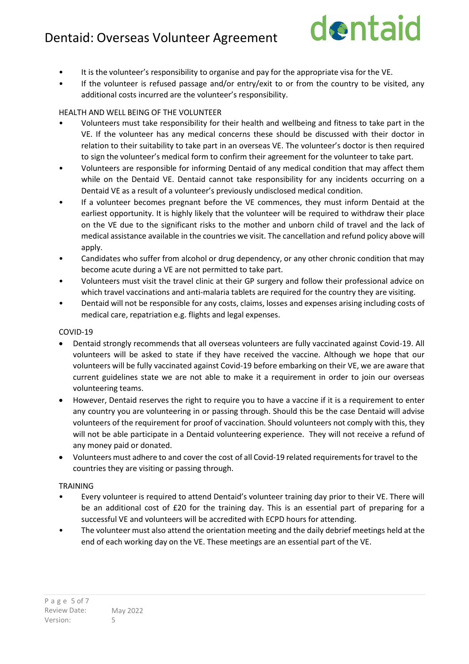

- It is the volunteer's responsibility to organise and pay for the appropriate visa for the VE.
- If the volunteer is refused passage and/or entry/exit to or from the country to be visited, any additional costs incurred are the volunteer's responsibility.

#### HEALTH AND WELL BEING OF THE VOLUNTEER

- Volunteers must take responsibility for their health and wellbeing and fitness to take part in the VE. If the volunteer has any medical concerns these should be discussed with their doctor in relation to their suitability to take part in an overseas VE. The volunteer's doctor is then required to sign the volunteer's medical form to confirm their agreement for the volunteer to take part.
- Volunteers are responsible for informing Dentaid of any medical condition that may affect them while on the Dentaid VE. Dentaid cannot take responsibility for any incidents occurring on a Dentaid VE as a result of a volunteer's previously undisclosed medical condition.
- If a volunteer becomes pregnant before the VE commences, they must inform Dentaid at the earliest opportunity. It is highly likely that the volunteer will be required to withdraw their place on the VE due to the significant risks to the mother and unborn child of travel and the lack of medical assistance available in the countries we visit. The cancellation and refund policy above will apply.
- Candidates who suffer from alcohol or drug dependency, or any other chronic condition that may become acute during a VE are not permitted to take part.
- Volunteers must visit the travel clinic at their GP surgery and follow their professional advice on which travel vaccinations and anti-malaria tablets are required for the country they are visiting.
- Dentaid will not be responsible for any costs, claims, losses and expenses arising including costs of medical care, repatriation e.g. flights and legal expenses.

#### COVID-19

- Dentaid strongly recommends that all overseas volunteers are fully vaccinated against Covid-19. All volunteers will be asked to state if they have received the vaccine. Although we hope that our volunteers will be fully vaccinated against Covid-19 before embarking on their VE, we are aware that current guidelines state we are not able to make it a requirement in order to join our overseas volunteering teams.
- However, Dentaid reserves the right to require you to have a vaccine if it is a requirement to enter any country you are volunteering in or passing through. Should this be the case Dentaid will advise volunteers of the requirement for proof of vaccination. Should volunteers not comply with this, they will not be able participate in a Dentaid volunteering experience. They will not receive a refund of any money paid or donated.
- Volunteers must adhere to and cover the cost of all Covid-19 related requirements for travel to the countries they are visiting or passing through.

#### TRAINING

- Every volunteer is required to attend Dentaid's volunteer training day prior to their VE. There will be an additional cost of £20 for the training day. This is an essential part of preparing for a successful VE and volunteers will be accredited with ECPD hours for attending.
- The volunteer must also attend the orientation meeting and the daily debrief meetings held at the end of each working day on the VE. These meetings are an essential part of the VE.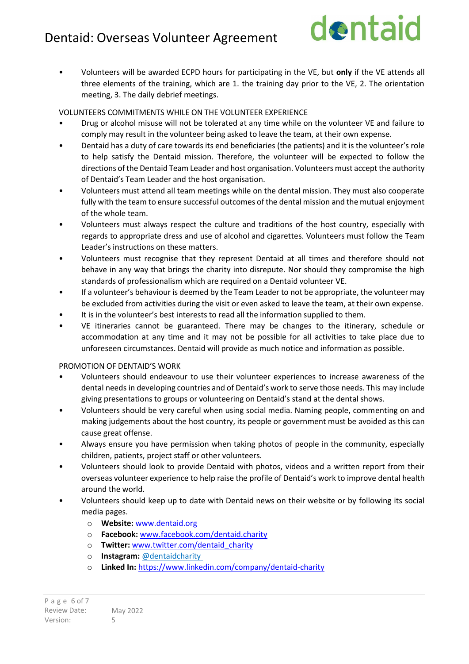# dentaid

• Volunteers will be awarded ECPD hours for participating in the VE, but **only** if the VE attends all three elements of the training, which are 1. the training day prior to the VE, 2. The orientation meeting, 3. The daily debrief meetings.

VOLUNTEERS COMMITMENTS WHILE ON THE VOLUNTEER EXPERIENCE

- Drug or alcohol misuse will not be tolerated at any time while on the volunteer VE and failure to comply may result in the volunteer being asked to leave the team, at their own expense.
- Dentaid has a duty of care towards its end beneficiaries (the patients) and it is the volunteer's role to help satisfy the Dentaid mission. Therefore, the volunteer will be expected to follow the directions ofthe Dentaid Team Leader and host organisation. Volunteers must accept the authority of Dentaid's Team Leader and the host organisation.
- Volunteers must attend all team meetings while on the dental mission. They must also cooperate fully with the team to ensure successful outcomes of the dental mission and the mutual enjoyment of the whole team.
- Volunteers must always respect the culture and traditions of the host country, especially with regards to appropriate dress and use of alcohol and cigarettes. Volunteers must follow the Team Leader's instructions on these matters.
- Volunteers must recognise that they represent Dentaid at all times and therefore should not behave in any way that brings the charity into disrepute. Nor should they compromise the high standards of professionalism which are required on a Dentaid volunteer VE.
- If a volunteer's behaviour is deemed by the Team Leader to not be appropriate, the volunteer may be excluded from activities during the visit or even asked to leave the team, at their own expense.
- It is in the volunteer's best interests to read all the information supplied to them.
- VE itineraries cannot be guaranteed. There may be changes to the itinerary, schedule or accommodation at any time and it may not be possible for all activities to take place due to unforeseen circumstances. Dentaid will provide as much notice and information as possible.

#### PROMOTION OF DENTAID'S WORK

- Volunteers should endeavour to use their volunteer experiences to increase awareness of the dental needs in developing countries and of Dentaid's work to serve those needs. This may include giving presentations to groups or volunteering on Dentaid's stand at the dental shows.
- Volunteers should be very careful when using social media. Naming people, commenting on and making judgements about the host country, its people or government must be avoided as this can cause great offense.
- Always ensure you have permission when taking photos of people in the community, especially children, patients, project staff or other volunteers.
- Volunteers should look to provide Dentaid with photos, videos and a written report from their overseas volunteer experience to help raise the profile of Dentaid's work to improve dental health around the world.
- Volunteers should keep up to date with Dentaid news on their website or by following its social media pages.
	- o **Website:** [www.dentaid.org](http://www.dentaid.org/)
	- o **Facebook:** [www.facebook.com/dentaid.charity](http://www.facebook.com/dentaid.charity)
	- o **Twitter:** [www.twitter.com/dentaid\\_charity](http://www.twitter.com/dentaid_charity)
	- o **Instagram:** @dentaidcharity
	- o **Linked In:** <https://www.linkedin.com/company/dentaid-charity>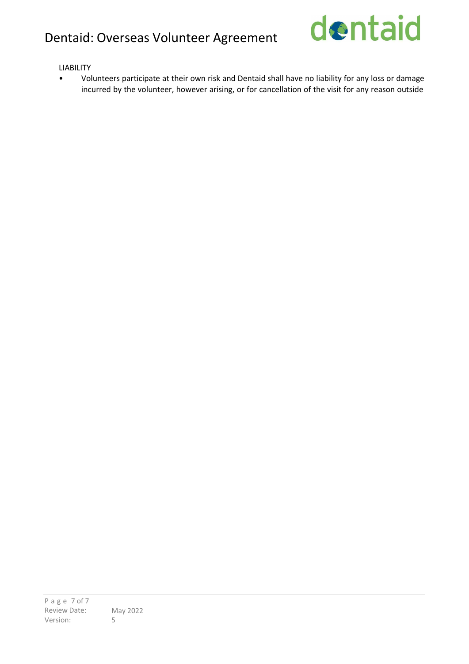

#### LIABILITY

• Volunteers participate at their own risk and Dentaid shall have no liability for any loss or damage incurred by the volunteer, however arising, or for cancellation of the visit for any reason outside